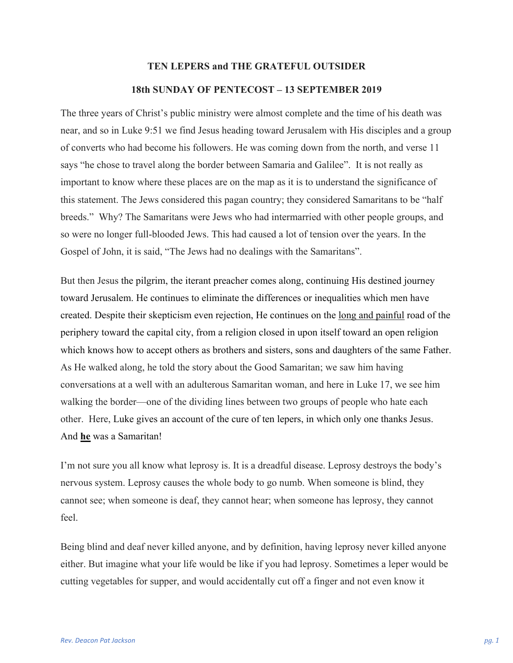## **TEN LEPERS and THE GRATEFUL OUTSIDER 18th SUNDAY OF PENTECOST – 13 SEPTEMBER 2019**

The three years of Christ's public ministry were almost complete and the time of his death was near, and so in Luke 9:51 we find Jesus heading toward Jerusalem with His disciples and a group of converts who had become his followers. He was coming down from the north, and verse 11 says "he chose to travel along the border between Samaria and Galilee". It is not really as important to know where these places are on the map as it is to understand the significance of this statement. The Jews considered this pagan country; they considered Samaritans to be "half breeds." Why? The Samaritans were Jews who had intermarried with other people groups, and so were no longer full-blooded Jews. This had caused a lot of tension over the years. In the Gospel of John, it is said, "The Jews had no dealings with the Samaritans".

But then Jesus the pilgrim, the iterant preacher comes along, continuing His destined journey toward Jerusalem. He continues to eliminate the differences or inequalities which men have created. Despite their skepticism even rejection, He continues on the long and painful road of the periphery toward the capital city, from a religion closed in upon itself toward an open religion which knows how to accept others as brothers and sisters, sons and daughters of the same Father. As He walked along, he told the story about the Good Samaritan; we saw him having conversations at a well with an adulterous Samaritan woman, and here in Luke 17, we see him walking the border—one of the dividing lines between two groups of people who hate each other. Here, Luke gives an account of the cure of ten lepers, in which only one thanks Jesus. And **he** was a Samaritan!

I'm not sure you all know what leprosy is. It is a dreadful disease. Leprosy destroys the body's nervous system. Leprosy causes the whole body to go numb. When someone is blind, they cannot see; when someone is deaf, they cannot hear; when someone has leprosy, they cannot feel.

Being blind and deaf never killed anyone, and by definition, having leprosy never killed anyone either. But imagine what your life would be like if you had leprosy. Sometimes a leper would be cutting vegetables for supper, and would accidentally cut off a finger and not even know it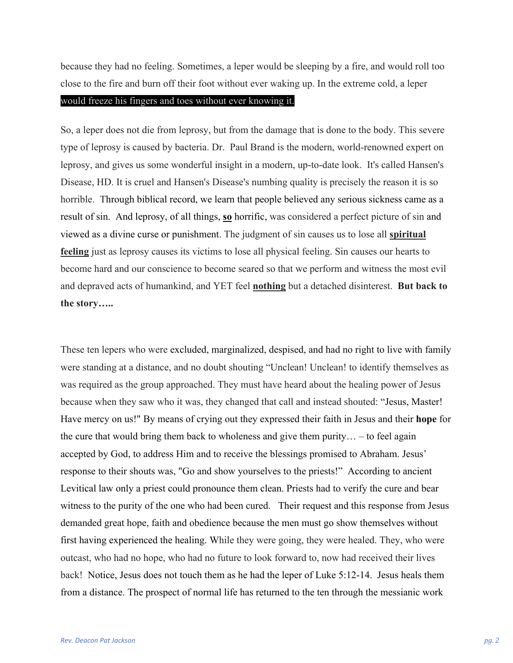because they had no feeling. Sometimes, a leper would be sleeping by a fire, and would roll too close to the fire and burn off their foot without ever waking up. In the extreme cold, a leper

## would freeze his fingers and toes without ever knowing it.

So, a leper does not die from leprosy, but from the damage that is done to the body. This severe type of leprosy is caused by bacteria. Dr. Paul Brand is the modern, world-renowned expert on leprosy, and gives us some wonderful insight in a modern, up-to-date look. It's called Hansen's Disease, HD. It is cruel and Hansen's Disease's numbing quality is precisely the reason it is so horrible. Through biblical record, we learn that people believed any serious sickness came as a result of sin. And leprosy, of all things, **so** horrific, was considered a perfect picture of sin and viewed as a divine curse or punishment. The judgment of sin causes us to lose all **spiritual feeling** just as leprosy causes its victims to lose all physical feeling. Sin causes our hearts to become hard and our conscience to become seared so that we perform and witness the most evil and depraved acts of humankind, and YET feel **nothing** but a detached disinterest. **But back to the story…..**

These ten lepers who were excluded, marginalized, despised, and had no right to live with family were standing at a distance, and no doubt shouting "Unclean! Unclean! to identify themselves as was required as the group approached. They must have heard about the healing power of Jesus because when they saw who it was, they changed that call and instead shouted: "Jesus, Master! Have mercy on us!" By means of crying out they expressed their faith in Jesus and their **hope** for the cure that would bring them back to wholeness and give them purity… – to feel again accepted by God, to address Him and to receive the blessings promised to Abraham. Jesus' response to their shouts was, "Go and show yourselves to the priests!" According to ancient Levitical law only a priest could pronounce them clean. Priests had to verify the cure and bear witness to the purity of the one who had been cured. Their request and this response from Jesus demanded great hope, faith and obedience because the men must go show themselves without first having experienced the healing. While they were going, they were healed. They, who were outcast, who had no hope, who had no future to look forward to, now had received their lives back! Notice, Jesus does not touch them as he had the leper of Luke 5:12-14. Jesus heals them from a distance. The prospect of normal life has returned to the ten through the messianic work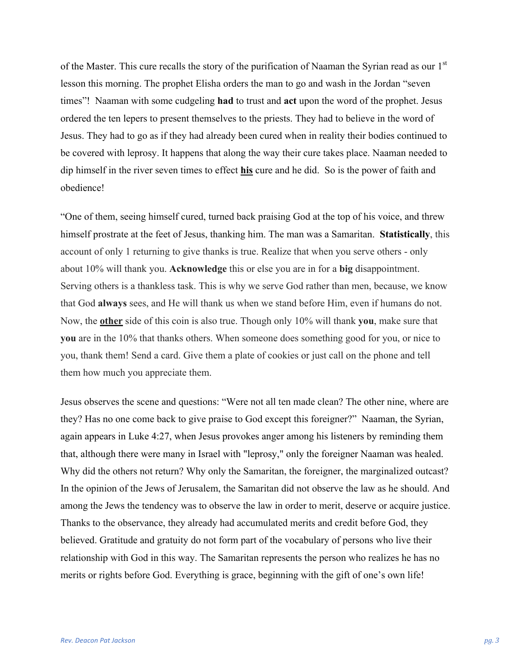of the Master. This cure recalls the story of the purification of Naaman the Syrian read as our 1<sup>st</sup> lesson this morning. The prophet Elisha orders the man to go and wash in the Jordan "seven times"! Naaman with some cudgeling **had** to trust and **act** upon the word of the prophet. Jesus ordered the ten lepers to present themselves to the priests. They had to believe in the word of Jesus. They had to go as if they had already been cured when in reality their bodies continued to be covered with leprosy. It happens that along the way their cure takes place. Naaman needed to dip himself in the river seven times to effect **his** cure and he did. So is the power of faith and obedience!

"One of them, seeing himself cured, turned back praising God at the top of his voice, and threw himself prostrate at the feet of Jesus, thanking him. The man was a Samaritan. **Statistically**, this account of only 1 returning to give thanks is true. Realize that when you serve others - only about 10% will thank you. **Acknowledge** this or else you are in for a **big** disappointment. Serving others is a thankless task. This is why we serve God rather than men, because, we know that God **always** sees, and He will thank us when we stand before Him, even if humans do not. Now, the **other** side of this coin is also true. Though only 10% will thank **you**, make sure that **you** are in the 10% that thanks others. When someone does something good for you, or nice to you, thank them! Send a card. Give them a plate of cookies or just call on the phone and tell them how much you appreciate them.

Jesus observes the scene and questions: "Were not all ten made clean? The other nine, where are they? Has no one come back to give praise to God except this foreigner?" Naaman, the Syrian, again appears in Luke 4:27, when Jesus provokes anger among his listeners by reminding them that, although there were many in Israel with "leprosy," only the foreigner Naaman was healed. Why did the others not return? Why only the Samaritan, the foreigner, the marginalized outcast? In the opinion of the Jews of Jerusalem, the Samaritan did not observe the law as he should. And among the Jews the tendency was to observe the law in order to merit, deserve or acquire justice. Thanks to the observance, they already had accumulated merits and credit before God, they believed. Gratitude and gratuity do not form part of the vocabulary of persons who live their relationship with God in this way. The Samaritan represents the person who realizes he has no merits or rights before God. Everything is grace, beginning with the gift of one's own life!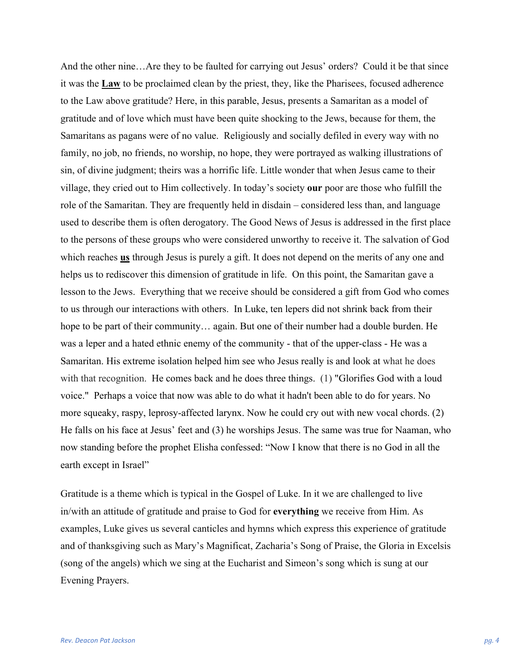And the other nine…Are they to be faulted for carrying out Jesus' orders? Could it be that since it was the **Law** to be proclaimed clean by the priest, they, like the Pharisees, focused adherence to the Law above gratitude? Here, in this parable, Jesus, presents a Samaritan as a model of gratitude and of love which must have been quite shocking to the Jews, because for them, the Samaritans as pagans were of no value. Religiously and socially defiled in every way with no family, no job, no friends, no worship, no hope, they were portrayed as walking illustrations of sin, of divine judgment; theirs was a horrific life. Little wonder that when Jesus came to their village, they cried out to Him collectively. In today's society **our** poor are those who fulfill the role of the Samaritan. They are frequently held in disdain – considered less than, and language used to describe them is often derogatory. The Good News of Jesus is addressed in the first place to the persons of these groups who were considered unworthy to receive it. The salvation of God which reaches **us** through Jesus is purely a gift. It does not depend on the merits of any one and helps us to rediscover this dimension of gratitude in life. On this point, the Samaritan gave a lesson to the Jews. Everything that we receive should be considered a gift from God who comes to us through our interactions with others. In Luke, ten lepers did not shrink back from their hope to be part of their community... again. But one of their number had a double burden. He was a leper and a hated ethnic enemy of the community - that of the upper-class - He was a Samaritan. His extreme isolation helped him see who Jesus really is and look at what he does with that recognition. He comes back and he does three things. (1) "Glorifies God with a loud voice." Perhaps a voice that now was able to do what it hadn't been able to do for years. No more squeaky, raspy, leprosy-affected larynx. Now he could cry out with new vocal chords. (2) He falls on his face at Jesus' feet and (3) he worships Jesus. The same was true for Naaman, who now standing before the prophet Elisha confessed: "Now I know that there is no God in all the earth except in Israel"

Gratitude is a theme which is typical in the Gospel of Luke. In it we are challenged to live in/with an attitude of gratitude and praise to God for **everything** we receive from Him. As examples, Luke gives us several canticles and hymns which express this experience of gratitude and of thanksgiving such as Mary's Magnificat, Zacharia's Song of Praise, the Gloria in Excelsis (song of the angels) which we sing at the Eucharist and Simeon's song which is sung at our Evening Prayers.